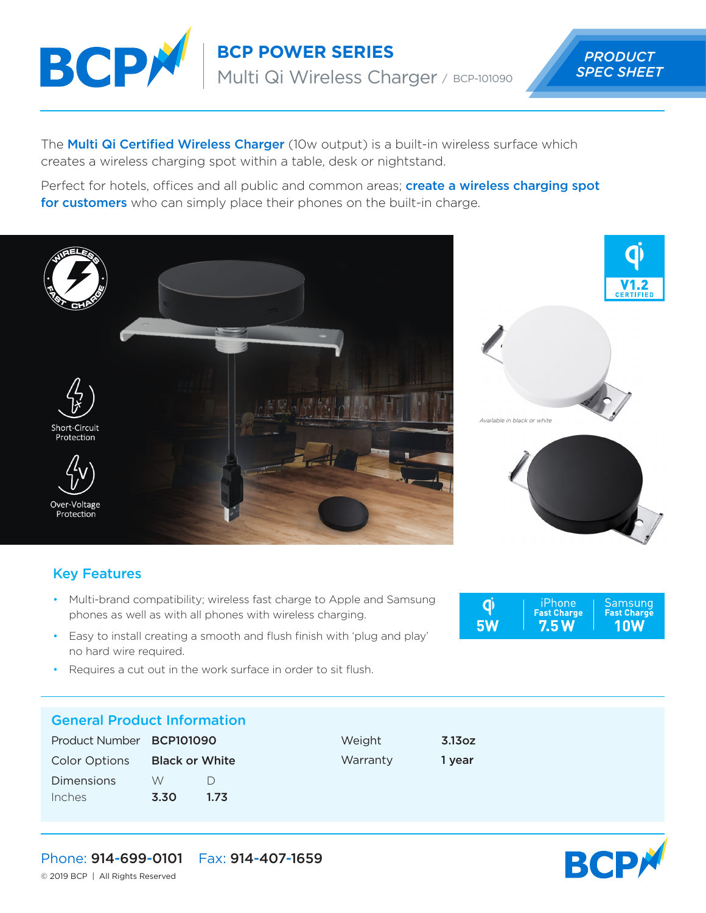

**BCP POWER SERIES**

Multi Qi Wireless Charger / BCP-101090

 *PRODUCT SPEC SHEET*

The **Multi Qi Certified Wireless Charger** (10w output) is a built-in wireless surface which creates a wireless charging spot within a table, desk or nightstand.

Perfect for hotels, offices and all public and common areas; **create a wireless charging spot** for customers who can simply place their phones on the built-in charge.









## Key Features

- Multi-brand compatibility; wireless fast charge to Apple and Samsung phones as well as with all phones with wireless charging.
- Easy to install creating a smooth and flush finish with 'plug and play' no hard wire required.
- Requires a cut out in the work surface in order to sit flush.

## General Product Information

| Product Number <b>BCP101090</b> |                       |      |
|---------------------------------|-----------------------|------|
| <b>Color Options</b>            | <b>Black or White</b> |      |
| <b>Dimensions</b>               | W                     | D    |
| Inches                          | 3.30                  | 1.73 |

iPhone<br>Fast Charge Samsung<br>Fast Charge  $\overline{\mathbf{q}}$ **5W**  $7.5W$ **10W** 

Weight 3.13oz Warranty 1 year



Phone: 914-699-0101 Fax: 914-407-1659

© 2019 BCP | All Rights Reserved